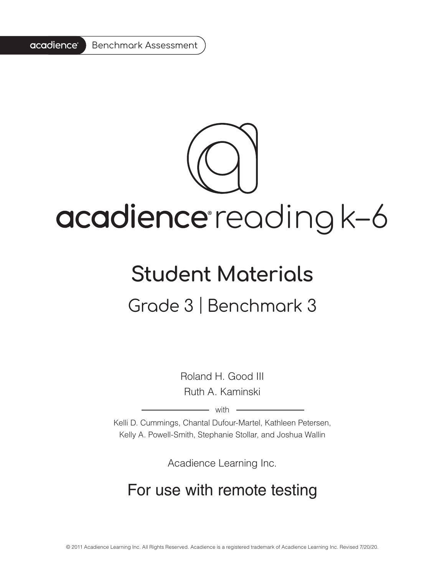

# acadience reading k-6

### **Student Materials** Grade 3 | Benchmark 3

Roland H. Good III Ruth A. Kaminski

 $-$  with  $-$ 

Kelli D. Cummings, Chantal Dufour-Martel, Kathleen Petersen, Kelly A. Powell-Smith, Stephanie Stollar, and Joshua Wallin

Acadience Learning Inc.

#### For use with remote testing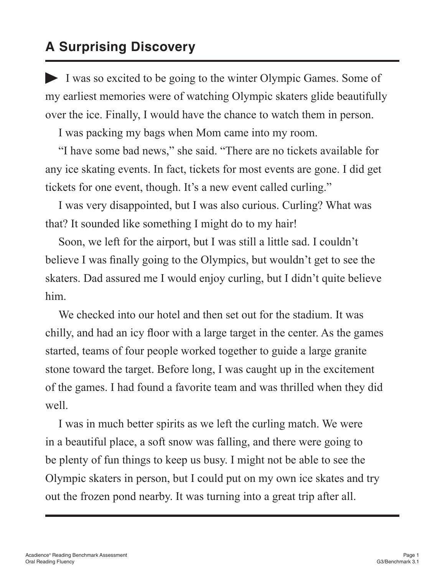#### **A Surprising Discovery**

I was so excited to be going to the winter Olympic Games. Some of my earliest memories were of watching Olympic skaters glide beautifully over the ice. Finally, I would have the chance to watch them in person.

I was packing my bags when Mom came into my room.

"I have some bad news," she said. "There are no tickets available for any ice skating events. In fact, tickets for most events are gone. I did get tickets for one event, though. It's a new event called curling."

I was very disappointed, but I was also curious. Curling? What was that? It sounded like something I might do to my hair!

Soon, we left for the airport, but I was still a little sad. I couldn't believe I was finally going to the Olympics, but wouldn't get to see the skaters. Dad assured me I would enjoy curling, but I didn't quite believe him.

We checked into our hotel and then set out for the stadium. It was chilly, and had an icy floor with a large target in the center. As the games started, teams of four people worked together to guide a large granite stone toward the target. Before long, I was caught up in the excitement of the games. I had found a favorite team and was thrilled when they did well.

I was in much better spirits as we left the curling match. We were in a beautiful place, a soft snow was falling, and there were going to be plenty of fun things to keep us busy. I might not be able to see the Olympic skaters in person, but I could put on my own ice skates and try out the frozen pond nearby. It was turning into a great trip after all.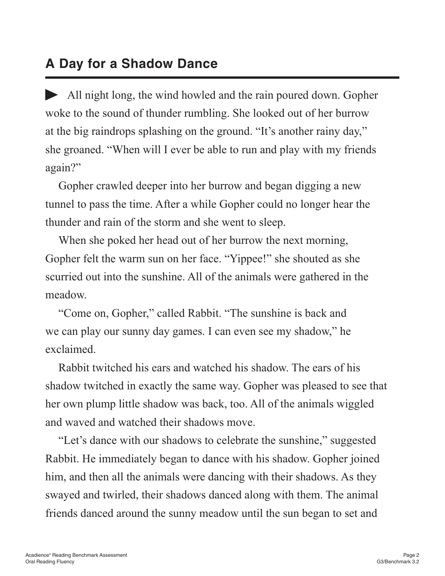#### **A Day for a Shadow Dance**

All night long, the wind howled and the rain poured down. Gopher woke to the sound of thunder rumbling. She looked out of her burrow at the big raindrops splashing on the ground. "It's another rainy day," she groaned. "When will I ever be able to run and play with my friends again?"

Gopher crawled deeper into her burrow and began digging a new tunnel to pass the time. After a while Gopher could no longer hear the thunder and rain of the storm and she went to sleep.

When she poked her head out of her burrow the next morning, Gopher felt the warm sun on her face. "Yippee!" she shouted as she scurried out into the sunshine. All of the animals were gathered in the meadow.

"Come on, Gopher," called Rabbit. "The sunshine is back and we can play our sunny day games. I can even see my shadow," he exclaimed.

Rabbit twitched his ears and watched his shadow. The ears of his shadow twitched in exactly the same way. Gopher was pleased to see that her own plump little shadow was back, too. All of the animals wiggled and waved and watched their shadows move.

"Let's dance with our shadows to celebrate the sunshine," suggested Rabbit. He immediately began to dance with his shadow. Gopher joined him, and then all the animals were dancing with their shadows. As they swayed and twirled, their shadows danced along with them. The animal friends danced around the sunny meadow until the sun began to set and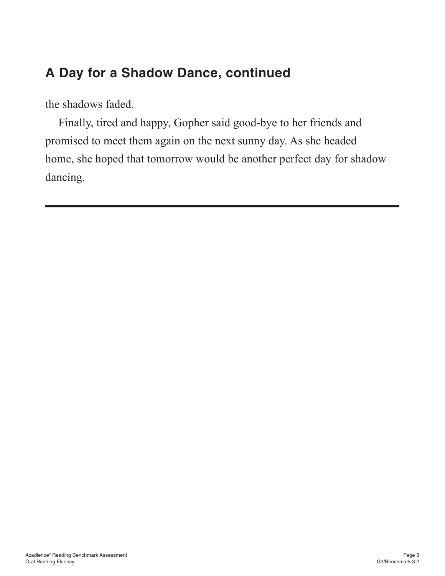#### **A Day for a Shadow Dance, continued**

the shadows faded.

Finally, tired and happy, Gopher said good-bye to her friends and promised to meet them again on the next sunny day. As she headed home, she hoped that tomorrow would be another perfect day for shadow dancing.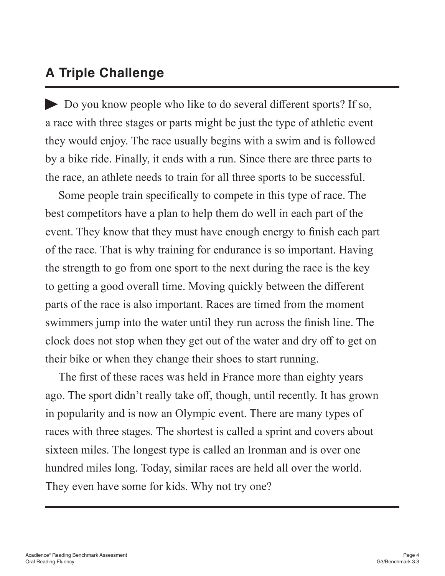#### **A Triple Challenge**

Do you know people who like to do several different sports? If so, a race with three stages or parts might be just the type of athletic event they would enjoy. The race usually begins with a swim and is followed by a bike ride. Finally, it ends with a run. Since there are three parts to the race, an athlete needs to train for all three sports to be successful.

Some people train specifically to compete in this type of race. The best competitors have a plan to help them do well in each part of the event. They know that they must have enough energy to finish each part of the race. That is why training for endurance is so important. Having the strength to go from one sport to the next during the race is the key to getting a good overall time. Moving quickly between the different parts of the race is also important. Races are timed from the moment swimmers jump into the water until they run across the finish line. The clock does not stop when they get out of the water and dry off to get on their bike or when they change their shoes to start running.

The first of these races was held in France more than eighty years ago. The sport didn't really take off, though, until recently. It has grown in popularity and is now an Olympic event. There are many types of races with three stages. The shortest is called a sprint and covers about sixteen miles. The longest type is called an Ironman and is over one hundred miles long. Today, similar races are held all over the world. They even have some for kids. Why not try one?

**Benchmark 3**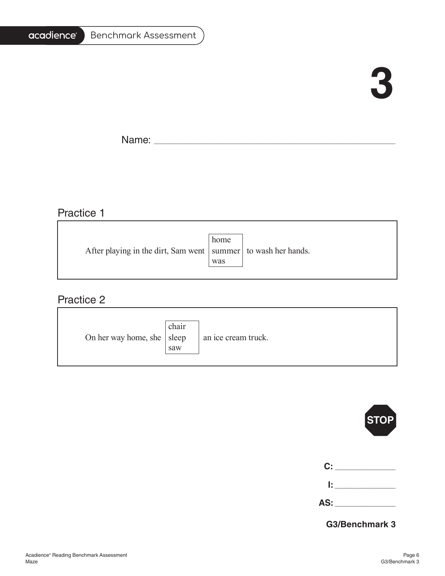#### acadience® Benchmark Assessment

## **3**

٦

Name: \_\_\_\_\_\_\_\_\_\_\_\_\_\_\_\_\_\_\_\_\_\_\_\_\_\_\_\_\_\_\_\_\_\_\_\_\_\_\_\_\_\_\_\_\_\_\_\_\_\_\_\_\_\_\_\_\_\_\_\_\_\_\_\_\_\_\_\_\_\_\_\_\_\_\_\_\_\_\_\_\_\_\_\_\_\_\_\_\_\_\_\_\_\_\_\_\_\_\_\_\_\_\_

#### Practice 1

|                                                                   | home |  |
|-------------------------------------------------------------------|------|--|
| After playing in the dirt, Sam went   summer   to wash her hands. |      |  |
|                                                                   | was  |  |
|                                                                   |      |  |

<u> 1989 - Johann Barn, amerikansk politiker (d. 1989)</u>

#### Practice 2

| On her way home, she $ $ sleep | chair<br>saw | an ice cream truck. |
|--------------------------------|--------------|---------------------|
|--------------------------------|--------------|---------------------|



| C:  |               |
|-----|---------------|
|     | _____________ |
| AS: |               |

**G3/Benchmark 3**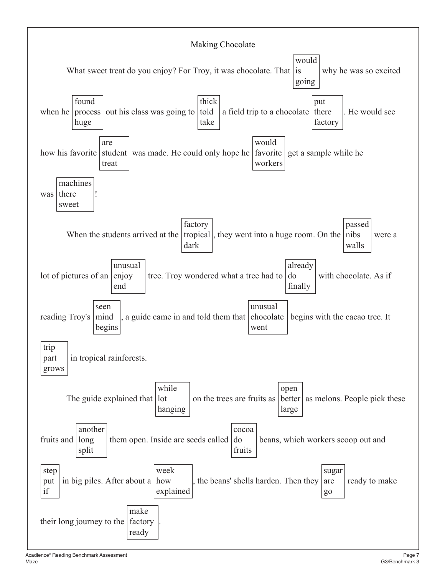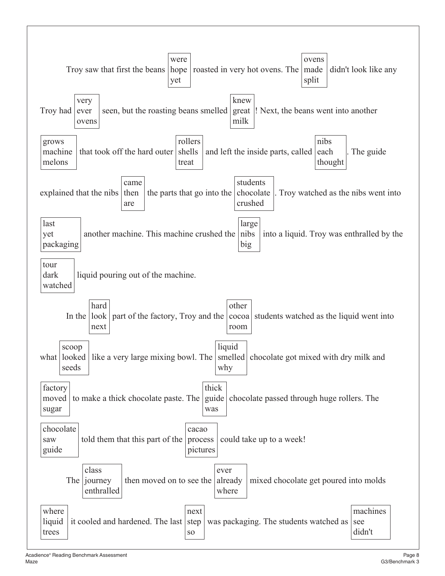